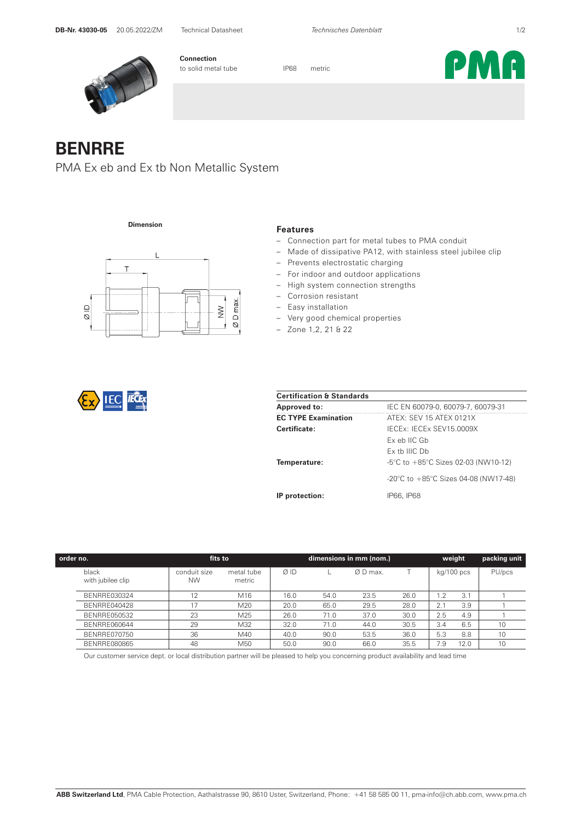PMA



**Connection** to solid metal tube IP68 metric

## **BENRRE**

PMA Ex eb and Ex tb Non Metallic System

**Dimension**



## **Features**

- Connection part for metal tubes to PMA conduit
- Made of dissipative PA12, with stainless steel jubilee clip
- Prevents electrostatic charging
- For indoor and outdoor applications
- High system connection strengths
- Corrosion resistant
- Easy installation
- Very good chemical properties
- Zone 1,2, 21 & 22

| <b>Certification &amp; Standards</b> |                                                          |  |  |  |  |  |  |
|--------------------------------------|----------------------------------------------------------|--|--|--|--|--|--|
| <b>Approved to:</b>                  | IEC EN 60079-0, 60079-7, 60079-31                        |  |  |  |  |  |  |
| <b>EC TYPE Examination</b>           | ATEX: SEV 15 ATEX 0121X                                  |  |  |  |  |  |  |
| Certificate:                         | IFCEx: IFCEx SEV15 0009X                                 |  |  |  |  |  |  |
|                                      | Ex eb IIC Gb                                             |  |  |  |  |  |  |
|                                      | $Fx$ th IIIC $Dh$                                        |  |  |  |  |  |  |
| Temperature:                         | $-5^{\circ}$ C to $+85^{\circ}$ C Sizes 02-03 (NW10-12)  |  |  |  |  |  |  |
|                                      | $-20^{\circ}$ C to $+85^{\circ}$ C Sizes 04-08 (NW17-48) |  |  |  |  |  |  |
| IP protection:                       | IP66. IP68                                               |  |  |  |  |  |  |

| order no.                  | fits to                   |                      |      |      | dimensions in mm (nom.) |      |                  | weight     | packing unit |
|----------------------------|---------------------------|----------------------|------|------|-------------------------|------|------------------|------------|--------------|
| black<br>with jubilee clip | conduit size<br><b>NW</b> | metal tube<br>metric | ØID  |      | Ø D max.                |      |                  | kg/100 pcs | PU/pcs       |
| BENRRE030324               | 12                        | M16                  | 16.0 | 54.0 | 23.5                    | 26.0 | $\overline{1.2}$ | 3.1        |              |
| BENRRE040428               |                           | M20                  | 20.0 | 65.0 | 29.5                    | 28.0 | 2.1              | 3.9        |              |
| BENRRE050532               | 23                        | M25                  | 26.0 | 71.0 | 37.0                    | 30.0 | 2.5              | 4.9        |              |
| BENRRE060644               | 29                        | M32                  | 32.0 | 71.0 | 44.0                    | 30.5 | 3.4              | 6.5        | 10           |
| BENRRE070750               | 36                        | M40                  | 40.0 | 90.0 | 53.5                    | 36.0 | 5.3              | 8.8        | 10           |
| BENRRE080865               | 48                        | M50                  | 50.0 | 90.0 | 66.0                    | 35.5 | 7.9              | 12.0       | 10           |

Our customer service dept. or local distribution partner will be pleased to help you concerning product availability and lead time